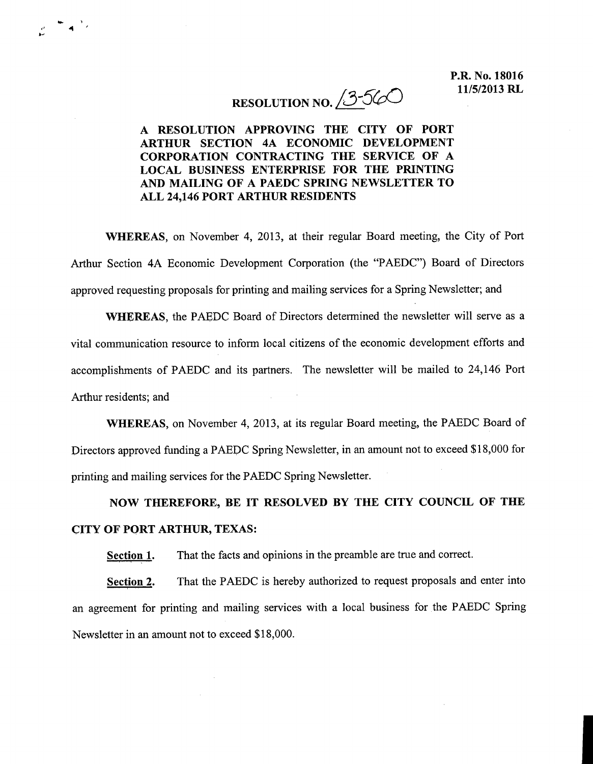## RESOLUTION NO.  $3-560$

## A RESOLUTION APPROVING THE CITY OF PORT ARTHUR SECTION 4A ECONOMIC DEVELOPMENT CORPORATION CONTRACTING THE SERVICE OF A LOCAL BUSINESS ENTERPRISE FOR THE PRINTING AND MAILING OF A PAEDC SPRING NEWSLETTER TO ALL 24146 PORT ARTHUR RESIDENTS

r 4

WHEREAS, on November 4, 2013, at their regular Board meeting, the City of Port Arthur Section 4A Economic Development Corporation (the "PAEDC") Board of Directors approved requesting proposals for printing and mailing services for a Spring Newsletter; and

WHEREAS, the PAEDC Board of Directors determined the newsletter will serve as a vital communication resource to inform local citizens of the economic development efforts and accomplishments of PAEDC and its partners. The newsletter will be mailed to 24,146 Port Arthur residents: and

WHEREAS, on November 4, 2013, at its regular Board meeting, the PAEDC Board of Directors approved funding a PAEDC Spring Newsletter, in an amount not to exceed \$18,000 for printing and mailing services for the PAEDC Spring Newsletter

## NOW THEREFORE, BE IT RESOLVED BY THE CITY COUNCIL OF THE CITY OF PORT ARTHUR, TEXAS:

Section 1. That the facts and opinions in the preamble are true and correct.

Section 2. That the PAEDC is hereby authorized to request proposals and enter into an agreement for printing and mailing services with a local business for the PAEDC Spring Newsletter in an amount not to exceed \$18,000.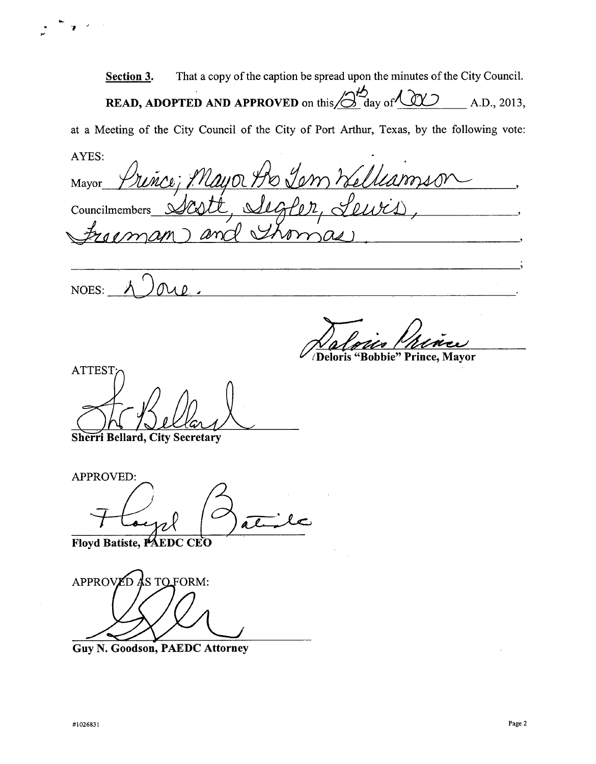Section 3. That a copy of the caption be spread upon the minutes of the City Council. **READ, ADOPTED AND APPROVED** on this  $\beta$  day of  $\omega$   $\sim$  A.D., 2013, a Meeting of the City Council of the City of Port Arthur, Texas, by the following vote AYES KEAD, ADOPTED AND APPROVED on this 6 day or the case of the City Council of the City of Port Arthur, Texas, by the<br>Mayor Prince; Mayor Ao Jem Kelleamse Councilmembers YES:<br>Mayor Prince; Phayo<br>Councilmembers Scott,<br>Fracman and NOES:

n<br>U

/Deloris "Bobbie" Prince, Mayor

**ATTEST** Sherri Bellard, City Secretary ATTEST

APPROVED I al

Floyd Batiste, PAEDC CEO

APPROVED AS TO FORM:

Guy N. Goodson, PAEDC Attorney